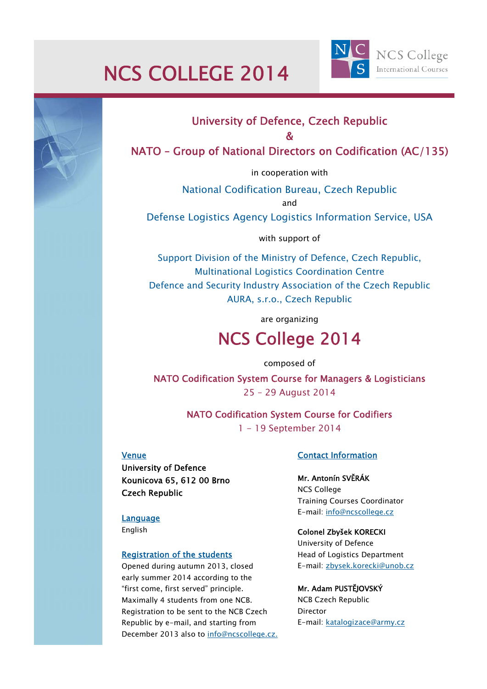# NCS COLLEGE 2014



## University of Defence, Czech Republic

#### &

### NATO – Group of National Directors on Codification (AC/135)

in cooperation with

National Codification Bureau, Czech Republic and

Defense Logistics Agency Logistics Information Service, USA

with support of

Support Division of the Ministry of Defence, Czech Republic, Multinational Logistics Coordination Centre Defence and Security Industry Association of the Czech Republic AURA, s.r.o., Czech Republic

are organizing

## NCS College 2014

composed of

NATO Codification System Course for Managers & Logisticians 25 – 29 August 2014

> NATO Codification System Course for Codifiers 1 - 19 September 2014

#### Venue

University of Defence Kounicova 65, 612 00 Brno Czech Republic

**Language** English

## Registration of the students

Opened during autumn 2013, closed early summer 2014 according to the "first come, first served" principle. Maximally 4 students from one NCB. Registration to be sent to the NCB Czech Republic by e-mail, and starting from December 2013 also to info@ncscollege.cz.

#### Contact Information

#### Mr. Antonín SVĚRÁK

NCS College Training Courses Coordinator E-mail: info@ncscollege.cz

#### Colonel Zbyšek KORECKI

University of Defence Head of Logistics Department E-mail: zbysek.korecki@unob.cz

#### Mr. Adam PUSTĚJOVSKÝ

NCB Czech Republic Director E-mail: katalogizace@army.cz